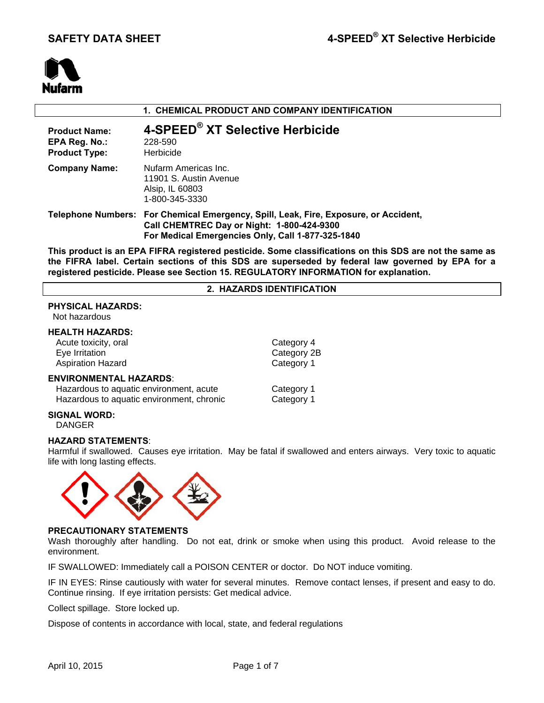

# **1. CHEMICAL PRODUCT AND COMPANY IDENTIFICATION**

| <b>Product Name:</b><br>EPA Reg. No.:<br><b>Product Type:</b> | 4-SPEED® XT Selective Herbicide<br>228-590<br>Herbicide                                                                                                                                 |
|---------------------------------------------------------------|-----------------------------------------------------------------------------------------------------------------------------------------------------------------------------------------|
| <b>Company Name:</b>                                          | Nufarm Americas Inc.<br>11901 S. Austin Avenue<br>Alsip, IL 60803<br>1-800-345-3330                                                                                                     |
|                                                               | Telephone Numbers: For Chemical Emergency, Spill, Leak, Fire, Exposure, or Accident,<br>Call CHEMTREC Day or Night: 1-800-424-9300<br>For Medical Emergencies Only, Call 1-877-325-1840 |

**This product is an EPA FIFRA registered pesticide. Some classifications on this SDS are not the same as the FIFRA label. Certain sections of this SDS are superseded by federal law governed by EPA for a registered pesticide. Please see Section 15. REGULATORY INFORMATION for explanation.**

## **2. HAZARDS IDENTIFICATION**

## **PHYSICAL HAZARDS:**

Not hazardous

# **HEALTH HAZARDS:**

Acute toxicity, oral Category 4 Eye Irritation **Category 2B** Aspiration Hazard **Category 1** 

## **ENVIRONMENTAL HAZARDS**:

Hazardous to aquatic environment, acute Category 1 Hazardous to aquatic environment, chronic Category 1

## **SIGNAL WORD:**

DANGER

## **HAZARD STATEMENTS**:

Harmful if swallowed. Causes eye irritation. May be fatal if swallowed and enters airways. Very toxic to aquatic life with long lasting effects.



## **PRECAUTIONARY STATEMENTS**

Wash thoroughly after handling. Do not eat, drink or smoke when using this product. Avoid release to the environment.

IF SWALLOWED: Immediately call a POISON CENTER or doctor. Do NOT induce vomiting.

IF IN EYES: Rinse cautiously with water for several minutes. Remove contact lenses, if present and easy to do. Continue rinsing. If eye irritation persists: Get medical advice.

Collect spillage. Store locked up.

Dispose of contents in accordance with local, state, and federal regulations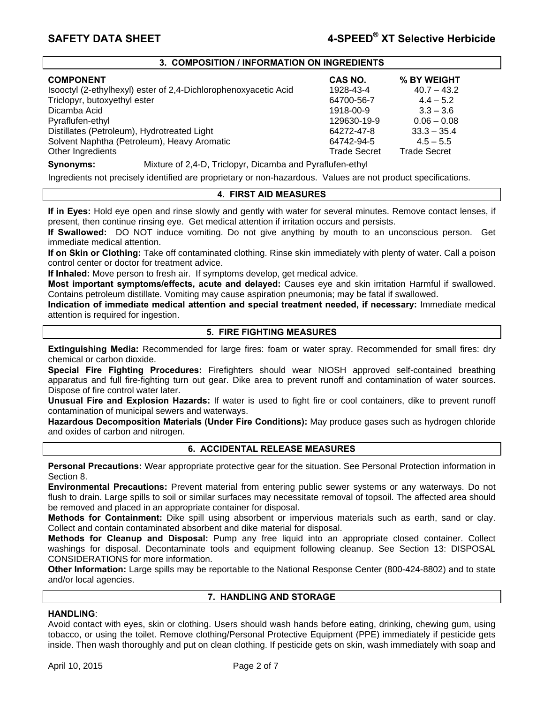## **3. COMPOSITION / INFORMATION ON INGREDIENTS**

| <b>COMPONENT</b>                                                | CAS NO.             | % BY WEIGHT         |
|-----------------------------------------------------------------|---------------------|---------------------|
| Isooctyl (2-ethylhexyl) ester of 2,4-Dichlorophenoxyacetic Acid | 1928-43-4           | $40.7 - 43.2$       |
| Triclopyr, butoxyethyl ester                                    | 64700-56-7          | $4.4 - 5.2$         |
| Dicamba Acid                                                    | 1918-00-9           | $3.3 - 3.6$         |
| Pyraflufen-ethyl                                                | 129630-19-9         | $0.06 - 0.08$       |
| Distillates (Petroleum), Hydrotreated Light                     | 64272-47-8          | $33.3 - 35.4$       |
| Solvent Naphtha (Petroleum), Heavy Aromatic                     | 64742-94-5          | $4.5 - 5.5$         |
| Other Ingredients                                               | <b>Trade Secret</b> | <b>Trade Secret</b> |

## **Synonyms:** Mixture of 2,4-D, Triclopyr, Dicamba and Pyraflufen-ethyl

Ingredients not precisely identified are proprietary or non-hazardous. Values are not product specifications.

## **4. FIRST AID MEASURES**

**If in Eyes:** Hold eye open and rinse slowly and gently with water for several minutes. Remove contact lenses, if present, then continue rinsing eye. Get medical attention if irritation occurs and persists.

**If Swallowed:** DO NOT induce vomiting. Do not give anything by mouth to an unconscious person. Get immediate medical attention.

**If on Skin or Clothing:** Take off contaminated clothing. Rinse skin immediately with plenty of water. Call a poison control center or doctor for treatment advice.

**If Inhaled:** Move person to fresh air. If symptoms develop, get medical advice.

**Most important symptoms/effects, acute and delayed:** Causes eye and skin irritation Harmful if swallowed. Contains petroleum distillate. Vomiting may cause aspiration pneumonia; may be fatal if swallowed.

**Indication of immediate medical attention and special treatment needed, if necessary:** Immediate medical attention is required for ingestion.

## **5. FIRE FIGHTING MEASURES**

**Extinguishing Media:** Recommended for large fires: foam or water spray. Recommended for small fires: dry chemical or carbon dioxide.

**Special Fire Fighting Procedures:** Firefighters should wear NIOSH approved self-contained breathing apparatus and full fire-fighting turn out gear. Dike area to prevent runoff and contamination of water sources. Dispose of fire control water later.

**Unusual Fire and Explosion Hazards:** If water is used to fight fire or cool containers, dike to prevent runoff contamination of municipal sewers and waterways.

**Hazardous Decomposition Materials (Under Fire Conditions):** May produce gases such as hydrogen chloride and oxides of carbon and nitrogen.

# **6. ACCIDENTAL RELEASE MEASURES**

**Personal Precautions:** Wear appropriate protective gear for the situation. See Personal Protection information in Section 8.

**Environmental Precautions:** Prevent material from entering public sewer systems or any waterways. Do not flush to drain. Large spills to soil or similar surfaces may necessitate removal of topsoil. The affected area should be removed and placed in an appropriate container for disposal.

**Methods for Containment:** Dike spill using absorbent or impervious materials such as earth, sand or clay. Collect and contain contaminated absorbent and dike material for disposal.

**Methods for Cleanup and Disposal:** Pump any free liquid into an appropriate closed container. Collect washings for disposal. Decontaminate tools and equipment following cleanup. See Section 13: DISPOSAL CONSIDERATIONS for more information.

**Other Information:** Large spills may be reportable to the National Response Center (800-424-8802) and to state and/or local agencies.

## **7. HANDLING AND STORAGE**

## **HANDLING**:

Avoid contact with eyes, skin or clothing. Users should wash hands before eating, drinking, chewing gum, using tobacco, or using the toilet. Remove clothing/Personal Protective Equipment (PPE) immediately if pesticide gets inside. Then wash thoroughly and put on clean clothing. If pesticide gets on skin, wash immediately with soap and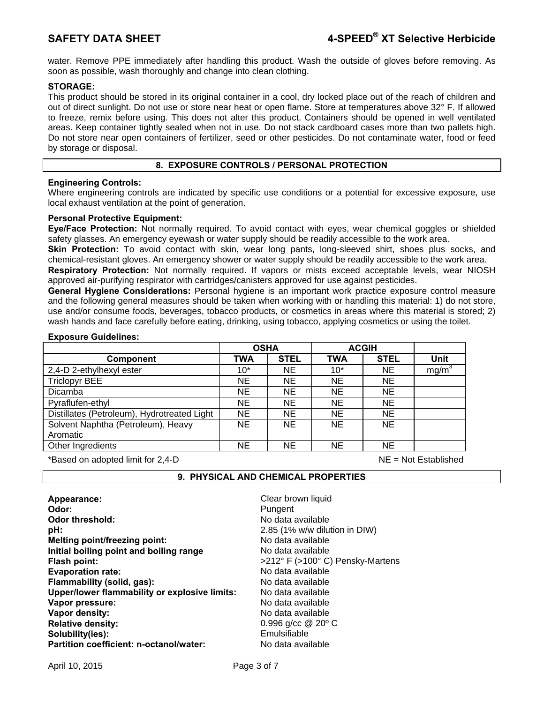water. Remove PPE immediately after handling this product. Wash the outside of gloves before removing. As soon as possible, wash thoroughly and change into clean clothing.

# **STORAGE:**

This product should be stored in its original container in a cool, dry locked place out of the reach of children and out of direct sunlight. Do not use or store near heat or open flame. Store at temperatures above 32° F. If allowed to freeze, remix before using. This does not alter this product. Containers should be opened in well ventilated areas. Keep container tightly sealed when not in use. Do not stack cardboard cases more than two pallets high. Do not store near open containers of fertilizer, seed or other pesticides. Do not contaminate water, food or feed by storage or disposal.

# **8. EXPOSURE CONTROLS / PERSONAL PROTECTION**

# **Engineering Controls:**

Where engineering controls are indicated by specific use conditions or a potential for excessive exposure, use local exhaust ventilation at the point of generation.

## **Personal Protective Equipment:**

**Eye/Face Protection:** Not normally required. To avoid contact with eyes, wear chemical goggles or shielded safety glasses. An emergency eyewash or water supply should be readily accessible to the work area.

**Skin Protection:** To avoid contact with skin, wear long pants, long-sleeved shirt, shoes plus socks, and chemical-resistant gloves. An emergency shower or water supply should be readily accessible to the work area.

**Respiratory Protection:** Not normally required. If vapors or mists exceed acceptable levels, wear NIOSH approved air-purifying respirator with cartridges/canisters approved for use against pesticides.

**General Hygiene Considerations:** Personal hygiene is an important work practice exposure control measure and the following general measures should be taken when working with or handling this material: 1) do not store, use and/or consume foods, beverages, tobacco products, or cosmetics in areas where this material is stored; 2) wash hands and face carefully before eating, drinking, using tobacco, applying cosmetics or using the toilet.

|                                             | <b>OSHA</b> |             | <b>ACGIH</b> |             |                   |
|---------------------------------------------|-------------|-------------|--------------|-------------|-------------------|
| <b>Component</b>                            | <b>TWA</b>  | <b>STEL</b> | <b>TWA</b>   | <b>STEL</b> | Unit              |
| 2,4-D 2-ethylhexyl ester                    | $10*$       | <b>NE</b>   | $10*$        | <b>NE</b>   | mg/m <sup>3</sup> |
| <b>Triclopyr BEE</b>                        | <b>NE</b>   | <b>NE</b>   | <b>NE</b>    | <b>NE</b>   |                   |
| Dicamba                                     | NE.         | <b>NE</b>   | NE           | <b>NE</b>   |                   |
| Pyraflufen-ethyl                            | <b>NE</b>   | <b>NE</b>   | ΝE           | <b>NE</b>   |                   |
| Distillates (Petroleum), Hydrotreated Light | NE.         | <b>NE</b>   | <b>NE</b>    | <b>NE</b>   |                   |
| Solvent Naphtha (Petroleum), Heavy          | NE.         | <b>NE</b>   | <b>NE</b>    | <b>NE</b>   |                   |
| Aromatic                                    |             |             |              |             |                   |
| Other Ingredients                           | NE.         | NE.         | <b>NE</b>    | <b>NE</b>   |                   |

\*Based on adopted limit for 2,4-D NE = Not Established

## **9. PHYSICAL AND CHEMICAL PROPERTIES**

| Appearance:                                   | Clear brown liquid               |
|-----------------------------------------------|----------------------------------|
| Odor:                                         | Pungent                          |
| <b>Odor threshold:</b>                        | No data available                |
| pH:                                           | 2.85 (1% w/w dilution in DIW)    |
| Melting point/freezing point:                 | No data available                |
| Initial boiling point and boiling range       | No data available                |
| Flash point:                                  | >212° F (>100° C) Pensky-Martens |
| <b>Evaporation rate:</b>                      | No data available                |
| Flammability (solid, gas):                    | No data available                |
| Upper/lower flammability or explosive limits: | No data available                |
| Vapor pressure:                               | No data available                |
| Vapor density:                                | No data available                |
| <b>Relative density:</b>                      | 0.996 g/cc $@$ 20 $°C$           |
| Solubility(ies):                              | Emulsifiable                     |
| Partition coefficient: n-octanol/water:       | No data available                |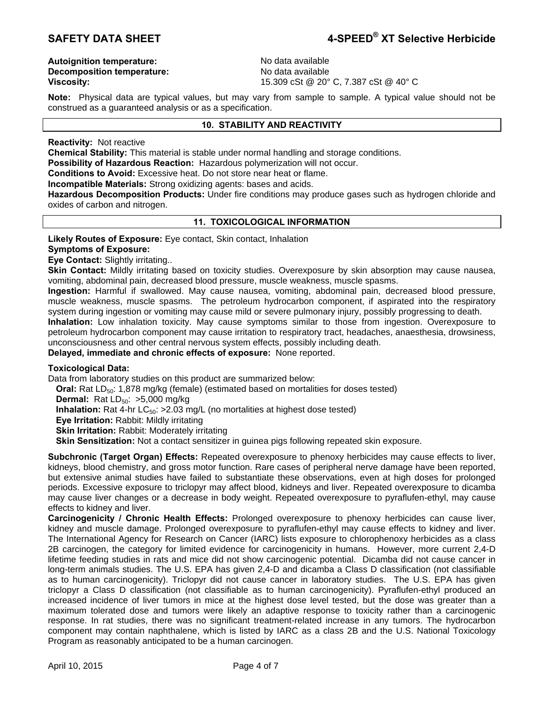**Autoignition temperature:** No data available **Decomposition temperature:** No data available

**Viscosity:** 15.309 cSt @ 20° C, 7.387 cSt @ 40° C

**Note:** Physical data are typical values, but may vary from sample to sample. A typical value should not be construed as a guaranteed analysis or as a specification.

# **10. STABILITY AND REACTIVITY**

**Reactivity:** Not reactive

**Chemical Stability:** This material is stable under normal handling and storage conditions.

**Possibility of Hazardous Reaction:** Hazardous polymerization will not occur.

**Conditions to Avoid:** Excessive heat. Do not store near heat or flame.

**Incompatible Materials:** Strong oxidizing agents: bases and acids.

**Hazardous Decomposition Products:** Under fire conditions may produce gases such as hydrogen chloride and oxides of carbon and nitrogen.

# **11. TOXICOLOGICAL INFORMATION**

**Likely Routes of Exposure:** Eye contact, Skin contact, Inhalation

# **Symptoms of Exposure:**

**Eye Contact:** Slightly irritating..

**Skin Contact:** Mildly irritating based on toxicity studies. Overexposure by skin absorption may cause nausea, vomiting, abdominal pain, decreased blood pressure, muscle weakness, muscle spasms.

**Ingestion:** Harmful if swallowed. May cause nausea, vomiting, abdominal pain, decreased blood pressure, muscle weakness, muscle spasms. The petroleum hydrocarbon component, if aspirated into the respiratory system during ingestion or vomiting may cause mild or severe pulmonary injury, possibly progressing to death.

**Inhalation:** Low inhalation toxicity. May cause symptoms similar to those from ingestion. Overexposure to petroleum hydrocarbon component may cause irritation to respiratory tract, headaches, anaesthesia, drowsiness, unconsciousness and other central nervous system effects, possibly including death.

**Delayed, immediate and chronic effects of exposure:** None reported.

## **Toxicological Data:**

Data from laboratory studies on this product are summarized below:

**Oral:** Rat LD<sub>50</sub>: 1,878 mg/kg (female) (estimated based on mortalities for doses tested)

**Dermal:** Rat LD<sub>50</sub>: >5,000 mg/kg

**Inhalation:** Rat 4-hr  $LC_{50}$ :  $>2.03$  mg/L (no mortalities at highest dose tested)

**Eye Irritation:** Rabbit: Mildly irritating

**Skin Irritation: Rabbit: Moderately irritating** 

**Skin Sensitization:** Not a contact sensitizer in guinea pigs following repeated skin exposure.

**Subchronic (Target Organ) Effects:** Repeated overexposure to phenoxy herbicides may cause effects to liver, kidneys, blood chemistry, and gross motor function. Rare cases of peripheral nerve damage have been reported, but extensive animal studies have failed to substantiate these observations, even at high doses for prolonged periods. Excessive exposure to triclopyr may affect blood, kidneys and liver. Repeated overexposure to dicamba may cause liver changes or a decrease in body weight. Repeated overexposure to pyraflufen-ethyl, may cause effects to kidney and liver.

**Carcinogenicity / Chronic Health Effects:** Prolonged overexposure to phenoxy herbicides can cause liver, kidney and muscle damage. Prolonged overexposure to pyraflufen-ethyl may cause effects to kidney and liver. The International Agency for Research on Cancer (IARC) lists exposure to chlorophenoxy herbicides as a class 2B carcinogen, the category for limited evidence for carcinogenicity in humans. However, more current 2,4-D lifetime feeding studies in rats and mice did not show carcinogenic potential. Dicamba did not cause cancer in long-term animals studies. The U.S. EPA has given 2,4-D and dicamba a Class D classification (not classifiable as to human carcinogenicity). Triclopyr did not cause cancer in laboratory studies. The U.S. EPA has given triclopyr a Class D classification (not classifiable as to human carcinogenicity). Pyraflufen-ethyl produced an increased incidence of liver tumors in mice at the highest dose level tested, but the dose was greater than a maximum tolerated dose and tumors were likely an adaptive response to toxicity rather than a carcinogenic response. In rat studies, there was no significant treatment-related increase in any tumors. The hydrocarbon component may contain naphthalene, which is listed by IARC as a class 2B and the U.S. National Toxicology Program as reasonably anticipated to be a human carcinogen.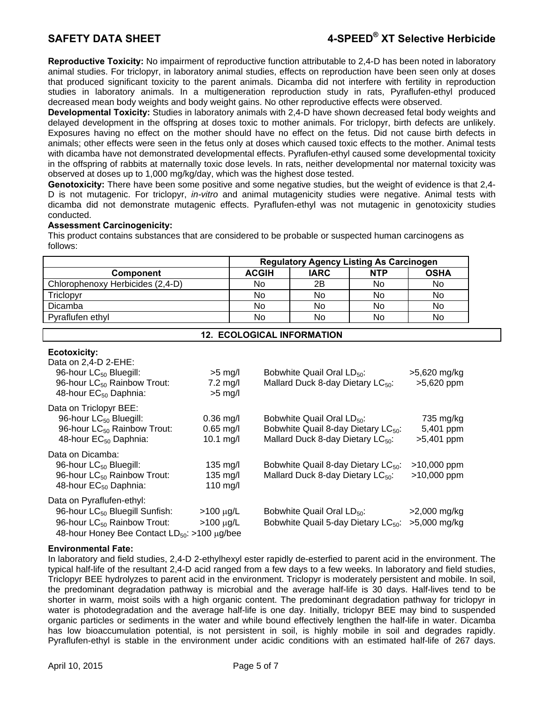# **SAFETY DATA SHEET 4-SPEED® XT Selective Herbicide**

**Reproductive Toxicity:** No impairment of reproductive function attributable to 2,4-D has been noted in laboratory animal studies. For triclopyr, in laboratory animal studies, effects on reproduction have been seen only at doses that produced significant toxicity to the parent animals. Dicamba did not interfere with fertility in reproduction studies in laboratory animals. In a multigeneration reproduction study in rats, Pyraflufen-ethyl produced decreased mean body weights and body weight gains. No other reproductive effects were observed.

**Developmental Toxicity:** Studies in laboratory animals with 2,4-D have shown decreased fetal body weights and delayed development in the offspring at doses toxic to mother animals. For triclopyr, birth defects are unlikely. Exposures having no effect on the mother should have no effect on the fetus. Did not cause birth defects in animals; other effects were seen in the fetus only at doses which caused toxic effects to the mother. Animal tests with dicamba have not demonstrated developmental effects. Pyraflufen-ethyl caused some developmental toxicity in the offspring of rabbits at maternally toxic dose levels. In rats, neither developmental nor maternal toxicity was observed at doses up to 1,000 mg/kg/day, which was the highest dose tested.

**Genotoxicity:** There have been some positive and some negative studies, but the weight of evidence is that 2,4- D is not mutagenic. For triclopyr, *in-vitro* and animal mutagenicity studies were negative. Animal tests with dicamba did not demonstrate mutagenic effects. Pyraflufen-ethyl was not mutagenic in genotoxicity studies conducted.

## **Assessment Carcinogenicity:**

This product contains substances that are considered to be probable or suspected human carcinogens as follows:

|                                  | <b>Regulatory Agency Listing As Carcinogen</b> |             |            |             |
|----------------------------------|------------------------------------------------|-------------|------------|-------------|
| <b>Component</b>                 | <b>ACGIH</b>                                   | <b>IARC</b> | <b>NTP</b> | <b>OSHA</b> |
| Chlorophenoxy Herbicides (2,4-D) | No                                             | 2B          | No         | No          |
| Triclopyr                        | No                                             | No          | No         | No          |
| Dicamba                          | No                                             | No          | No         | No.         |
| Pyraflufen ethyl                 | No                                             | No          | No         | No.         |

# **12. ECOLOGICAL INFORMATION**

| Data on 2,4-D 2-EHE:<br>96-hour LC <sub>50</sub> Bluegill:<br>96-hour LC <sub>50</sub> Rainbow Trout:<br>48-hour EC <sub>50</sub> Daphnia:                                     | $>5$ mg/l<br>$7.2 \text{ mg/l}$<br>$>5$ mg/l | Bobwhite Quail Oral LD <sub>50</sub> :<br>Mallard Duck 8-day Dietary LC <sub>50</sub> :                                                    | >5,620 mg/kg<br>$>5,620$ ppm           |
|--------------------------------------------------------------------------------------------------------------------------------------------------------------------------------|----------------------------------------------|--------------------------------------------------------------------------------------------------------------------------------------------|----------------------------------------|
| Data on Triclopyr BEE:<br>96-hour LC <sub>50</sub> Bluegill:<br>96-hour LC <sub>50</sub> Rainbow Trout:<br>48-hour EC <sub>50</sub> Daphnia:                                   | $0.36$ mg/l<br>$0.65$ mg/l<br>10.1 $mg/l$    | Bobwhite Quail Oral LD <sub>50</sub> :<br>Bobwhite Quail 8-day Dietary LC <sub>50</sub> :<br>Mallard Duck 8-day Dietary LC <sub>50</sub> : | 735 mg/kg<br>5,401 ppm<br>$>5,401$ ppm |
| Data on Dicamba:<br>96-hour LC <sub>50</sub> Bluegill:<br>96-hour LC <sub>50</sub> Rainbow Trout:<br>48-hour EC <sub>50</sub> Daphnia:                                         | $135 \text{ mg/l}$<br>$135$ mg/l<br>110 mg/l | Bobwhite Quail 8-day Dietary LC <sub>50</sub> :<br>Mallard Duck 8-day Dietary LC <sub>50</sub> :                                           | >10,000 ppm<br>>10,000 ppm             |
| Data on Pyraflufen-ethyl:<br>96-hour LC <sub>50</sub> Bluegill Sunfish:<br>96-hour LC <sub>50</sub> Rainbow Trout:<br>48-hour Honey Bee Contact LD <sub>50</sub> : >100 µg/bee | $>100 \mu g/L$<br>$>100 \mu g/L$             | Bobwhite Quail Oral LD <sub>50</sub> :<br>Bobwhite Quail 5-day Dietary LC <sub>50</sub> :                                                  | $>2,000$ mg/kg<br>>5,000 mg/kg         |

## **Environmental Fate:**

**Ecotoxicity:** 

In laboratory and field studies, 2,4-D 2-ethylhexyl ester rapidly de-esterfied to parent acid in the environment. The typical half-life of the resultant 2,4-D acid ranged from a few days to a few weeks. In laboratory and field studies, Triclopyr BEE hydrolyzes to parent acid in the environment. Triclopyr is moderately persistent and mobile. In soil, the predominant degradation pathway is microbial and the average half-life is 30 days. Half-lives tend to be shorter in warm, moist soils with a high organic content. The predominant degradation pathway for triclopyr in water is photodegradation and the average half-life is one day. Initially, triclopyr BEE may bind to suspended organic particles or sediments in the water and while bound effectively lengthen the half-life in water. Dicamba has low bioaccumulation potential, is not persistent in soil, is highly mobile in soil and degrades rapidly. Pyraflufen-ethyl is stable in the environment under acidic conditions with an estimated half-life of 267 days.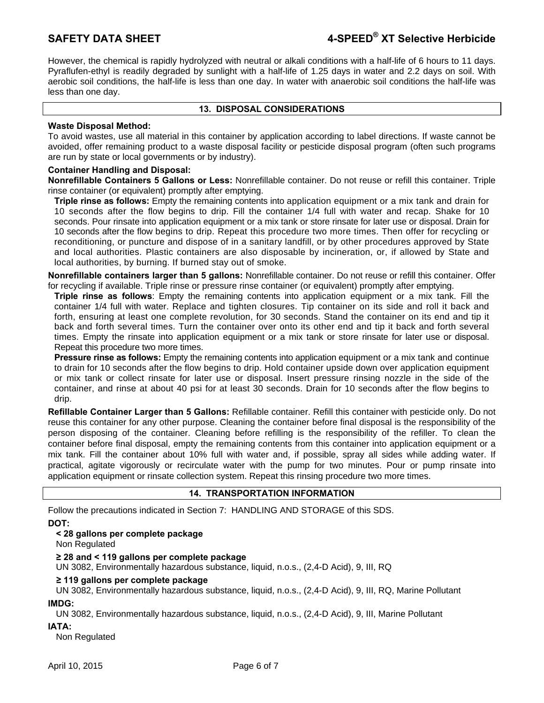However, the chemical is rapidly hydrolyzed with neutral or alkali conditions with a half-life of 6 hours to 11 days. Pyraflufen-ethyl is readily degraded by sunlight with a half-life of 1.25 days in water and 2.2 days on soil. With aerobic soil conditions, the half-life is less than one day. In water with anaerobic soil conditions the half-life was less than one day.

## **13. DISPOSAL CONSIDERATIONS**

## **Waste Disposal Method:**

To avoid wastes, use all material in this container by application according to label directions. If waste cannot be avoided, offer remaining product to a waste disposal facility or pesticide disposal program (often such programs are run by state or local governments or by industry).

## **Container Handling and Disposal:**

**Nonrefillable Containers 5 Gallons or Less:** Nonrefillable container. Do not reuse or refill this container. Triple rinse container (or equivalent) promptly after emptying.

**Triple rinse as follows:** Empty the remaining contents into application equipment or a mix tank and drain for 10 seconds after the flow begins to drip. Fill the container 1/4 full with water and recap. Shake for 10 seconds. Pour rinsate into application equipment or a mix tank or store rinsate for later use or disposal. Drain for 10 seconds after the flow begins to drip. Repeat this procedure two more times. Then offer for recycling or reconditioning, or puncture and dispose of in a sanitary landfill, or by other procedures approved by State and local authorities. Plastic containers are also disposable by incineration, or, if allowed by State and local authorities, by burning. If burned stay out of smoke.

**Nonrefillable containers larger than 5 gallons:** Nonrefillable container. Do not reuse or refill this container. Offer for recycling if available. Triple rinse or pressure rinse container (or equivalent) promptly after emptying.

**Triple rinse as follows**: Empty the remaining contents into application equipment or a mix tank. Fill the container 1/4 full with water. Replace and tighten closures. Tip container on its side and roll it back and forth, ensuring at least one complete revolution, for 30 seconds. Stand the container on its end and tip it back and forth several times. Turn the container over onto its other end and tip it back and forth several times. Empty the rinsate into application equipment or a mix tank or store rinsate for later use or disposal. Repeat this procedure two more times.

**Pressure rinse as follows:** Empty the remaining contents into application equipment or a mix tank and continue to drain for 10 seconds after the flow begins to drip. Hold container upside down over application equipment or mix tank or collect rinsate for later use or disposal. Insert pressure rinsing nozzle in the side of the container, and rinse at about 40 psi for at least 30 seconds. Drain for 10 seconds after the flow begins to drip.

**Refillable Container Larger than 5 Gallons:** Refillable container. Refill this container with pesticide only. Do not reuse this container for any other purpose. Cleaning the container before final disposal is the responsibility of the person disposing of the container. Cleaning before refilling is the responsibility of the refiller. To clean the container before final disposal, empty the remaining contents from this container into application equipment or a mix tank. Fill the container about 10% full with water and, if possible, spray all sides while adding water. If practical, agitate vigorously or recirculate water with the pump for two minutes. Pour or pump rinsate into application equipment or rinsate collection system. Repeat this rinsing procedure two more times.

## **14. TRANSPORTATION INFORMATION**

Follow the precautions indicated in Section 7: HANDLING AND STORAGE of this SDS.

**DOT:** 

# **< 28 gallons per complete package**

Non Regulated

# **≥ 28 and < 119 gallons per complete package**

UN 3082, Environmentally hazardous substance, liquid, n.o.s., (2,4-D Acid), 9, III, RQ

## **≥ 119 gallons per complete package**

UN 3082, Environmentally hazardous substance, liquid, n.o.s., (2,4-D Acid), 9, III, RQ, Marine Pollutant **IMDG:** 

UN 3082, Environmentally hazardous substance, liquid, n.o.s., (2,4-D Acid), 9, III, Marine Pollutant

## **IATA:**

Non Regulated